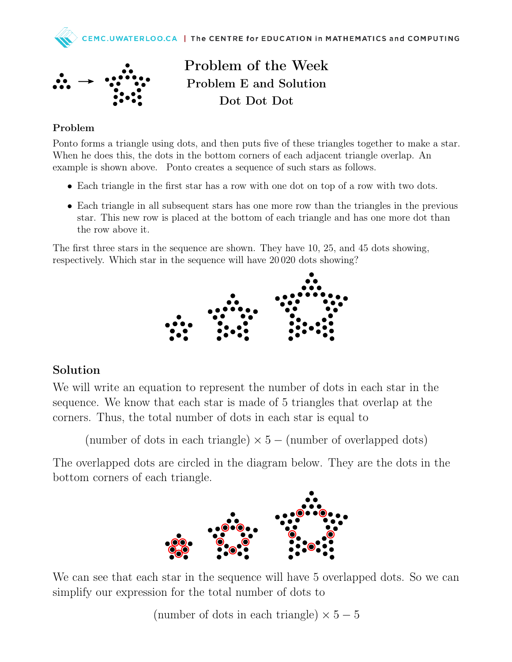



Problem of the Week Problem E and Solution Dot Dot Dot

## Problem

Ponto forms a triangle using dots, and then puts five of these triangles together to make a star. When he does this, the dots in the bottom corners of each adjacent triangle overlap. An example is shown above. Ponto creates a sequence of such stars as follows.

- Each triangle in the first star has a row with one dot on top of a row with two dots.
- Each triangle in all subsequent stars has one more row than the triangles in the previous star. This new row is placed at the bottom of each triangle and has one more dot than the row above it.

The first three stars in the sequence are shown. They have 10, 25, and 45 dots showing, respectively. Which star in the sequence will have 20 020 dots showing?



## Solution

We will write an equation to represent the number of dots in each star in the sequence. We know that each star is made of 5 triangles that overlap at the corners. Thus, the total number of dots in each star is equal to

```
(number of dots in each triangle) \times 5 – (number of overlapped dots)
```
The overlapped dots are circled in the diagram below. They are the dots in the bottom corners of each triangle.



We can see that each star in the sequence will have 5 overlapped dots. So we can simplify our expression for the total number of dots to

(number of dots in each triangle)  $\times$  5 – 5